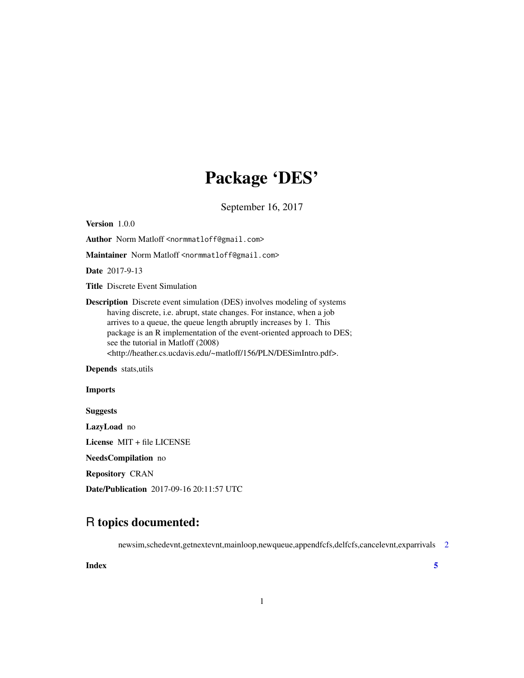## Package 'DES'

September 16, 2017

Version 1.0.0

Author Norm Matloff <normmatloff@gmail.com>

Maintainer Norm Matloff <normmatloff@gmail.com>

Date 2017-9-13

Title Discrete Event Simulation

Description Discrete event simulation (DES) involves modeling of systems having discrete, i.e. abrupt, state changes. For instance, when a job arrives to a queue, the queue length abruptly increases by 1. This package is an R implementation of the event-oriented approach to DES; see the tutorial in Matloff (2008) <http://heather.cs.ucdavis.edu/~matloff/156/PLN/DESimIntro.pdf>.

Depends stats,utils

### Imports

Suggests

LazyLoad no

License MIT + file LICENSE

NeedsCompilation no

Repository CRAN

Date/Publication 2017-09-16 20:11:57 UTC

### R topics documented:

newsim,schedevnt,getnextevnt,mainloop,newqueue,appendfcfs,delfcfs,cancelevnt,exparrivals [2](#page-1-0)

**Index** [5](#page-4-0). The second state of the second state of the second state of the second state of the second state of the second state of the second state of the second state of the second state of the second state of the second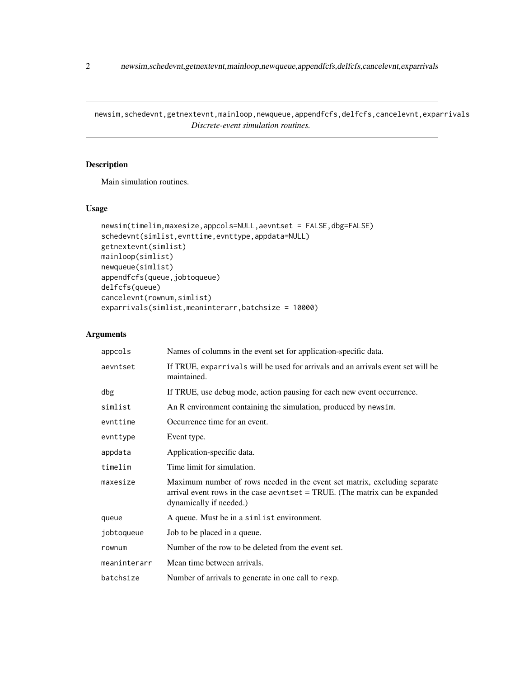<span id="page-1-0"></span>newsim,schedevnt,getnextevnt,mainloop,newqueue,appendfcfs,delfcfs,cancelevnt,exparrivals *Discrete-event simulation routines.*

### Description

Main simulation routines.

### Usage

```
newsim(timelim,maxesize,appcols=NULL,aevntset = FALSE,dbg=FALSE)
schedevnt(simlist,evnttime,evnttype,appdata=NULL)
getnextevnt(simlist)
mainloop(simlist)
newqueue(simlist)
appendfcfs(queue,jobtoqueue)
delfcfs(queue)
cancelevnt(rownum,simlist)
exparrivals(simlist,meaninterarr,batchsize = 10000)
```
### Arguments

| appcols      | Names of columns in the event set for application-specific data.                                                                                                                      |
|--------------|---------------------------------------------------------------------------------------------------------------------------------------------------------------------------------------|
| aevntset     | If TRUE, exparrivals will be used for arrivals and an arrivals event set will be<br>maintained.                                                                                       |
| dbg          | If TRUE, use debug mode, action pausing for each new event occurrence.                                                                                                                |
| simlist      | An R environment containing the simulation, produced by newsim.                                                                                                                       |
| evnttime     | Occurrence time for an event.                                                                                                                                                         |
| evnttype     | Event type.                                                                                                                                                                           |
| appdata      | Application-specific data.                                                                                                                                                            |
| timelim      | Time limit for simulation.                                                                                                                                                            |
| maxesize     | Maximum number of rows needed in the event set matrix, excluding separate<br>arrival event rows in the case aevntset $=$ TRUE. (The matrix can be expanded<br>dynamically if needed.) |
| queue        | A queue. Must be in a simlist environment.                                                                                                                                            |
| jobtoqueue   | Job to be placed in a queue.                                                                                                                                                          |
| rownum       | Number of the row to be deleted from the event set.                                                                                                                                   |
| meaninterarr | Mean time between arrivals.                                                                                                                                                           |
| batchsize    | Number of arrivals to generate in one call to rexp.                                                                                                                                   |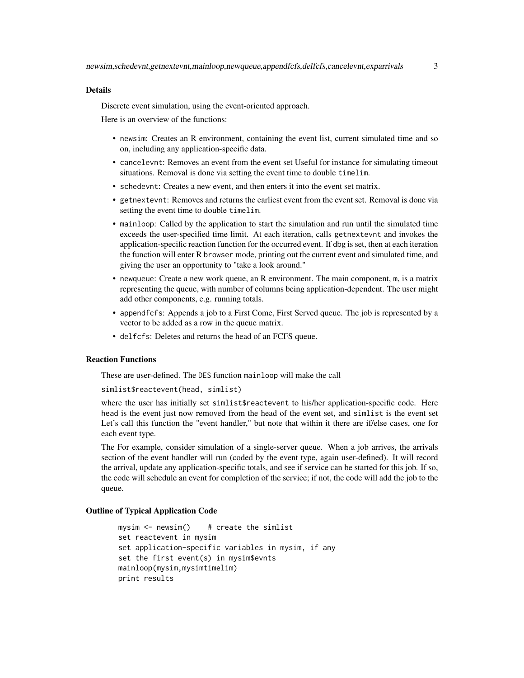### Details

Discrete event simulation, using the event-oriented approach.

Here is an overview of the functions:

- newsim: Creates an R environment, containing the event list, current simulated time and so on, including any application-specific data.
- cancelevnt: Removes an event from the event set Useful for instance for simulating timeout situations. Removal is done via setting the event time to double timelim.
- schedevnt: Creates a new event, and then enters it into the event set matrix.
- getnextevnt: Removes and returns the earliest event from the event set. Removal is done via setting the event time to double timelim.
- mainloop: Called by the application to start the simulation and run until the simulated time exceeds the user-specified time limit. At each iteration, calls getnextevnt and invokes the application-specific reaction function for the occurred event. If dbg is set, then at each iteration the function will enter R browser mode, printing out the current event and simulated time, and giving the user an opportunity to "take a look around."
- newqueue: Create a new work queue, an R environment. The main component, m, is a matrix representing the queue, with number of columns being application-dependent. The user might add other components, e.g. running totals.
- appendfcfs: Appends a job to a First Come, First Served queue. The job is represented by a vector to be added as a row in the queue matrix.
- delfcfs: Deletes and returns the head of an FCFS queue.

### Reaction Functions

These are user-defined. The DES function mainloop will make the call

```
simlist$reactevent(head, simlist)
```
where the user has initially set simlist\$reactevent to his/her application-specific code. Here head is the event just now removed from the head of the event set, and simlist is the event set Let's call this function the "event handler," but note that within it there are if/else cases, one for each event type.

The For example, consider simulation of a single-server queue. When a job arrives, the arrivals section of the event handler will run (coded by the event type, again user-defined). It will record the arrival, update any application-specific totals, and see if service can be started for this job. If so, the code will schedule an event for completion of the service; if not, the code will add the job to the queue.

### Outline of Typical Application Code

```
mysim \leq newsim() # create the simlist
set reactevent in mysim
set application-specific variables in mysim, if any
set the first event(s) in mysim$evnts
mainloop(mysim,mysimtimelim)
print results
```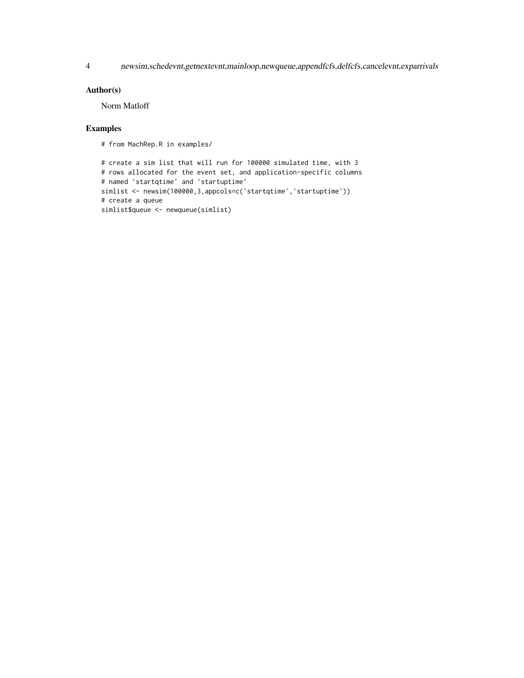4 newsim,schedevnt,getnextevnt,mainloop,newqueue,appendfcfs,delfcfs,cancelevnt,exparrivals

### Author(s)

Norm Matloff

### Examples

```
# from MachRep.R in examples/
```

```
# create a sim list that will run for 100000 simulated time, with 3
# rows allocated for the event set, and application-specific columns
# named 'startqtime' and 'startuptime'
simlist <- newsim(100000,3,appcols=c('startqtime','startuptime'))
# create a queue
simlist$queue <- newqueue(simlist)
```